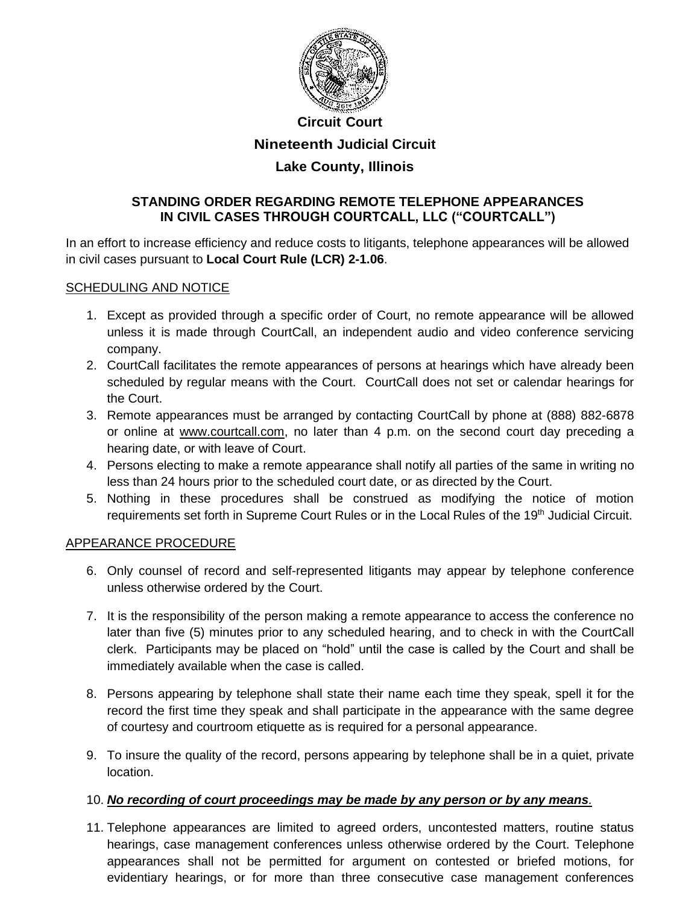

# **Circuit Court Nineteenth Judicial Circuit Lake County, Illinois**

## **STANDING ORDER REGARDING REMOTE TELEPHONE APPEARANCES IN CIVIL CASES THROUGH COURTCALL, LLC ("COURTCALL")**

In an effort to increase efficiency and reduce costs to litigants, telephone appearances will be allowed in civil cases pursuant to **Local Court Rule (LCR) 2-1.06**.

### SCHEDULING AND NOTICE

- 1. Except as provided through a specific order of Court, no remote appearance will be allowed unless it is made through CourtCall, an independent audio and video conference servicing company.
- 2. CourtCall facilitates the remote appearances of persons at hearings which have already been scheduled by regular means with the Court. CourtCall does not set or calendar hearings for the Court.
- 3. Remote appearances must be arranged by contacting CourtCall by phone at (888) 882-6878 or online at [www.courtcall.com,](http://www.courtcall.com/) no later than 4 p.m. on the second court day preceding a hearing date, or with leave of Court.
- 4. Persons electing to make a remote appearance shall notify all parties of the same in writing no less than 24 hours prior to the scheduled court date, or as directed by the Court.
- 5. Nothing in these procedures shall be construed as modifying the notice of motion requirements set forth in Supreme Court Rules or in the Local Rules of the 19<sup>th</sup> Judicial Circuit.

### APPEARANCE PROCEDURE

- 6. Only counsel of record and self-represented litigants may appear by telephone conference unless otherwise ordered by the Court.
- 7. It is the responsibility of the person making a remote appearance to access the conference no later than five (5) minutes prior to any scheduled hearing, and to check in with the CourtCall clerk. Participants may be placed on "hold" until the case is called by the Court and shall be immediately available when the case is called.
- 8. Persons appearing by telephone shall state their name each time they speak, spell it for the record the first time they speak and shall participate in the appearance with the same degree of courtesy and courtroom etiquette as is required for a personal appearance.
- 9. To insure the quality of the record, persons appearing by telephone shall be in a quiet, private location.

### 10. *No recording of court proceedings may be made by any person or by any means.*

11. Telephone appearances are limited to agreed orders, uncontested matters, routine status hearings, case management conferences unless otherwise ordered by the Court. Telephone appearances shall not be permitted for argument on contested or briefed motions, for evidentiary hearings, or for more than three consecutive case management conferences